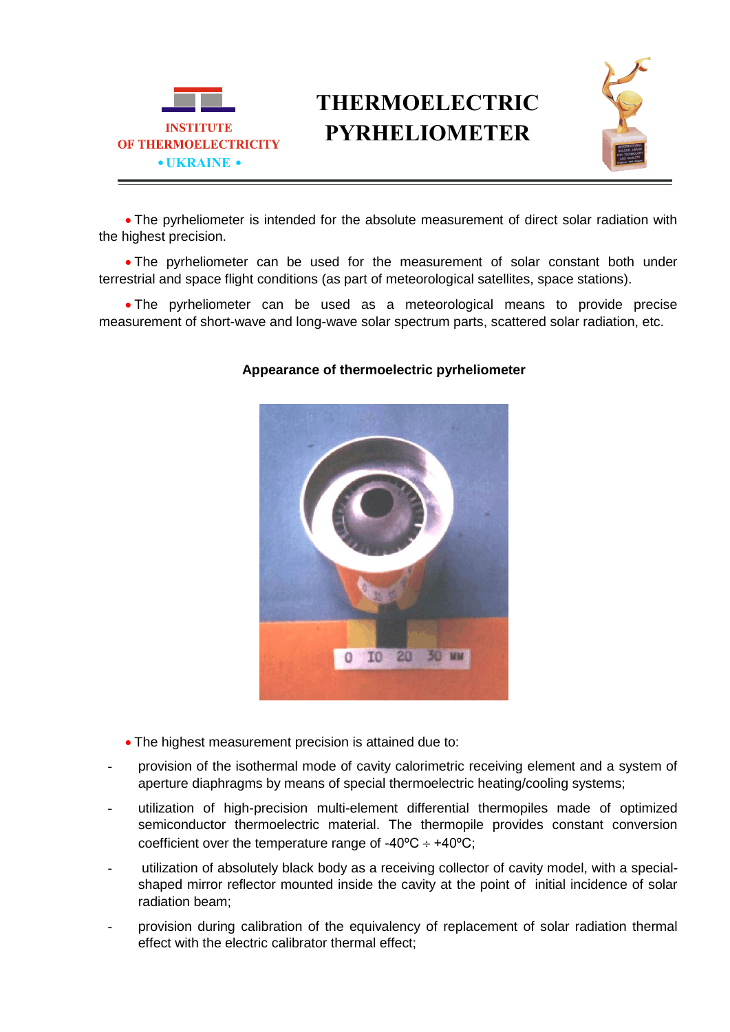

## **THERMOELECTRIC PYRHELIOMETER**



 The pyrheliometer is intended for the absolute measurement of direct solar radiation with the highest precision.

• The pyrheliometer can be used for the measurement of solar constant both under terrestrial and space flight conditions (as part of meteorological satellites, space stations).

 The pyrheliometer can be used as a meteorological means to provide precise measurement of short-wave and long-wave solar spectrum parts, scattered solar radiation, etc.

## I0 20 **30 MM**

## **Appearance of thermoelectric pyrheliometer**

- The highest measurement precision is attained due to:
- provision of the isothermal mode of cavity calorimetric receiving element and a system of aperture diaphragms by means of special thermoelectric heating/cooling systems;
- utilization of high-precision multi-element differential thermopiles made of optimized semiconductor thermoelectric material. The thermopile provides constant conversion coefficient over the temperature range of -40 $^{\circ}$ C  $\div$  +40 $^{\circ}$ C;
- utilization of absolutely black body as a receiving collector of cavity model, with a specialshaped mirror reflector mounted inside the cavity at the point of initial incidence of solar radiation beam;
- provision during calibration of the equivalency of replacement of solar radiation thermal effect with the electric calibrator thermal effect;